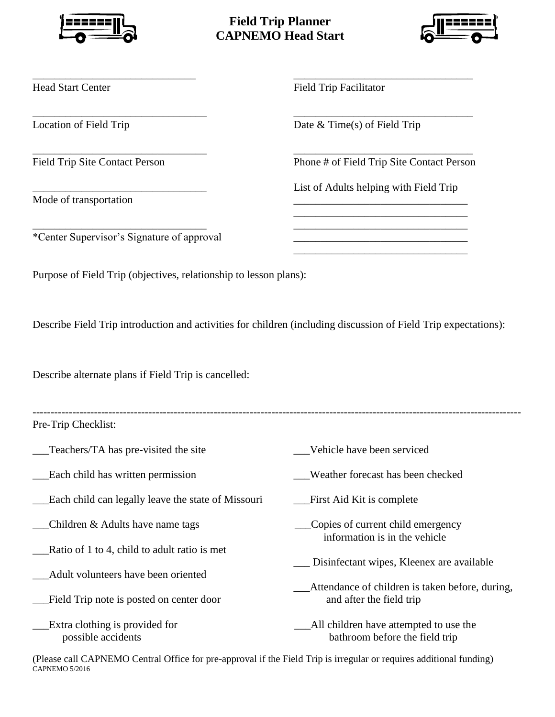

## **Field Trip Planner CAPNEMO Head Start**

\_\_\_\_\_\_\_\_\_\_\_\_\_\_\_\_\_\_\_\_\_\_\_\_\_\_\_\_\_\_ \_\_\_\_\_\_\_\_\_\_\_\_\_\_\_\_\_\_\_\_\_\_\_\_\_\_\_\_\_\_\_\_\_

\_\_\_\_\_\_\_\_\_\_\_\_\_\_\_\_\_\_\_\_\_\_\_\_\_\_\_\_\_\_\_\_ \_\_\_\_\_\_\_\_\_\_\_\_\_\_\_\_\_\_\_\_\_\_\_\_\_\_\_\_\_\_\_\_\_

 $\overline{\phantom{a}}$  , and the contribution of the contribution of the contribution of the contribution of the contribution of the contribution of the contribution of the contribution of the contribution of the contribution of the

\_\_\_\_\_\_\_\_\_\_\_\_\_\_\_\_\_\_\_\_\_\_\_\_\_\_\_\_\_\_\_\_ \_\_\_\_\_\_\_\_\_\_\_\_\_\_\_\_\_\_\_\_\_\_\_\_\_\_\_\_\_\_\_\_



Mode of transportation

Head Start Center Field Trip Facilitator

Location of Field Trip Date & Time(s) of Field Trip

Field Trip Site Contact Person Phone # of Field Trip Site Contact Person

List of Adults helping with Field Trip

\_\_\_\_\_\_\_\_\_\_\_\_\_\_\_\_\_\_\_\_\_\_\_\_\_\_\_\_\_\_\_\_

\_\_\_\_\_\_\_\_\_\_\_\_\_\_\_\_\_\_\_\_\_\_\_\_\_\_\_\_\_\_\_\_

\*Center Supervisor's Signature of approval \_\_\_\_\_\_\_\_\_\_\_\_\_\_\_\_\_\_\_\_\_\_\_\_\_\_\_\_\_\_\_\_

Purpose of Field Trip (objectives, relationship to lesson plans):

Describe Field Trip introduction and activities for children (including discussion of Field Trip expectations):

Describe alternate plans if Field Trip is cancelled:

| Pre-Trip Checklist:                                                                 |                                                                             |
|-------------------------------------------------------------------------------------|-----------------------------------------------------------------------------|
| Teachers/TA has pre-visited the site                                                | Vehicle have been serviced                                                  |
| Each child has written permission                                                   | Weather forecast has been checked                                           |
| Each child can legally leave the state of Missouri                                  | First Aid Kit is complete                                                   |
| Children & Adults have name tags                                                    | Copies of current child emergency<br>information is in the vehicle          |
| Ratio of 1 to 4, child to adult ratio is met<br>Adult volunteers have been oriented | Disinfectant wipes, Kleenex are available                                   |
| Field Trip note is posted on center door                                            | Attendance of children is taken before, during,<br>and after the field trip |
| Extra clothing is provided for<br>possible accidents                                | All children have attempted to use the<br>bathroom before the field trip    |

(Please call CAPNEMO Central Office for pre-approval if the Field Trip is irregular or requires additional funding) CAPNEMO 5/2016